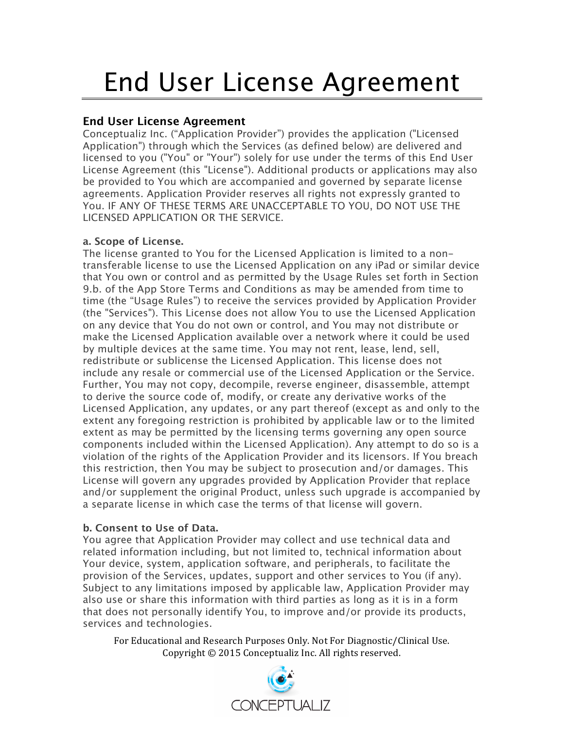# End User License Agreement

# **End User License Agreement**

Conceptualiz Inc. ("Application Provider") provides the application ("Licensed Application") through which the Services (as defined below) are delivered and licensed to you ("You" or "Your") solely for use under the terms of this End User License Agreement (this "License"). Additional products or applications may also be provided to You which are accompanied and governed by separate license agreements. Application Provider reserves all rights not expressly granted to You. IF ANY OF THESE TERMS ARE UNACCEPTABLE TO YOU, DO NOT USE THE LICENSED APPLICATION OR THE SERVICE.

## **a. Scope of License.**

The license granted to You for the Licensed Application is limited to a nontransferable license to use the Licensed Application on any iPad or similar device that You own or control and as permitted by the Usage Rules set forth in Section 9.b. of the App Store Terms and Conditions as may be amended from time to time (the "Usage Rules") to receive the services provided by Application Provider (the "Services"). This License does not allow You to use the Licensed Application on any device that You do not own or control, and You may not distribute or make the Licensed Application available over a network where it could be used by multiple devices at the same time. You may not rent, lease, lend, sell, redistribute or sublicense the Licensed Application. This license does not include any resale or commercial use of the Licensed Application or the Service. Further, You may not copy, decompile, reverse engineer, disassemble, attempt to derive the source code of, modify, or create any derivative works of the Licensed Application, any updates, or any part thereof (except as and only to the extent any foregoing restriction is prohibited by applicable law or to the limited extent as may be permitted by the licensing terms governing any open source components included within the Licensed Application). Any attempt to do so is a violation of the rights of the Application Provider and its licensors. If You breach this restriction, then You may be subject to prosecution and/or damages. This License will govern any upgrades provided by Application Provider that replace and/or supplement the original Product, unless such upgrade is accompanied by a separate license in which case the terms of that license will govern.

# **b. Consent to Use of Data.**

You agree that Application Provider may collect and use technical data and related information including, but not limited to, technical information about Your device, system, application software, and peripherals, to facilitate the provision of the Services, updates, support and other services to You (if any). Subject to any limitations imposed by applicable law, Application Provider may also use or share this information with third parties as long as it is in a form that does not personally identify You, to improve and/or provide its products, services and technologies.

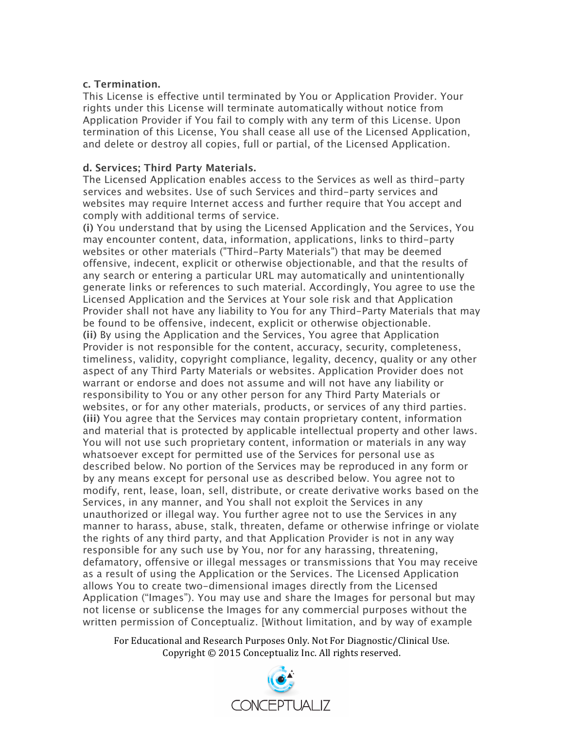#### **c. Termination.**

This License is effective until terminated by You or Application Provider. Your rights under this License will terminate automatically without notice from Application Provider if You fail to comply with any term of this License. Upon termination of this License, You shall cease all use of the Licensed Application, and delete or destroy all copies, full or partial, of the Licensed Application.

#### **d. Services; Third Party Materials.**

The Licensed Application enables access to the Services as well as third-party services and websites. Use of such Services and third-party services and websites may require Internet access and further require that You accept and comply with additional terms of service.

**(i)** You understand that by using the Licensed Application and the Services, You may encounter content, data, information, applications, links to third-party websites or other materials ("Third-Party Materials") that may be deemed offensive, indecent, explicit or otherwise objectionable, and that the results of any search or entering a particular URL may automatically and unintentionally generate links or references to such material. Accordingly, You agree to use the Licensed Application and the Services at Your sole risk and that Application Provider shall not have any liability to You for any Third-Party Materials that may be found to be offensive, indecent, explicit or otherwise objectionable. **(ii)** By using the Application and the Services, You agree that Application Provider is not responsible for the content, accuracy, security, completeness, timeliness, validity, copyright compliance, legality, decency, quality or any other aspect of any Third Party Materials or websites. Application Provider does not warrant or endorse and does not assume and will not have any liability or responsibility to You or any other person for any Third Party Materials or websites, or for any other materials, products, or services of any third parties. **(iii)** You agree that the Services may contain proprietary content, information and material that is protected by applicable intellectual property and other laws. You will not use such proprietary content, information or materials in any way whatsoever except for permitted use of the Services for personal use as described below. No portion of the Services may be reproduced in any form or by any means except for personal use as described below. You agree not to modify, rent, lease, loan, sell, distribute, or create derivative works based on the Services, in any manner, and You shall not exploit the Services in any unauthorized or illegal way. You further agree not to use the Services in any manner to harass, abuse, stalk, threaten, defame or otherwise infringe or violate the rights of any third party, and that Application Provider is not in any way responsible for any such use by You, nor for any harassing, threatening, defamatory, offensive or illegal messages or transmissions that You may receive as a result of using the Application or the Services. The Licensed Application allows You to create two-dimensional images directly from the Licensed Application ("Images"). You may use and share the Images for personal but may not license or sublicense the Images for any commercial purposes without the written permission of Conceptualiz. [Without limitation, and by way of example

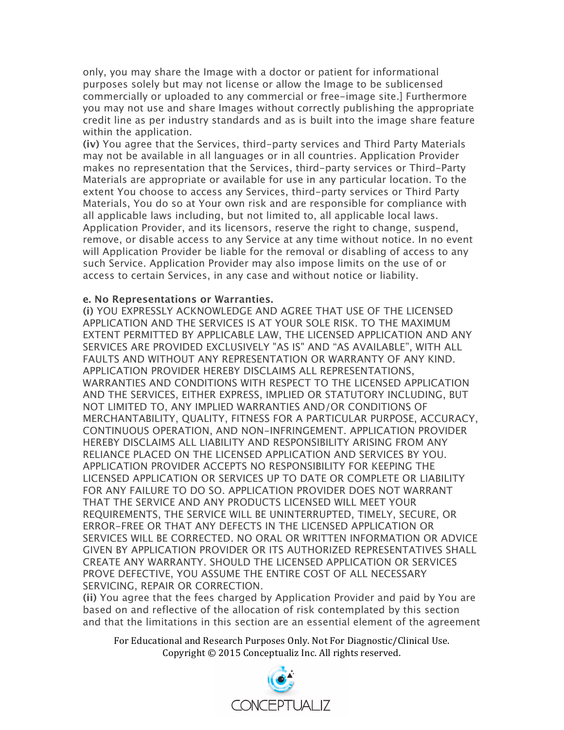only, you may share the Image with a doctor or patient for informational purposes solely but may not license or allow the Image to be sublicensed commercially or uploaded to any commercial or free-image site.] Furthermore you may not use and share Images without correctly publishing the appropriate credit line as per industry standards and as is built into the image share feature within the application.

**(iv)** You agree that the Services, third-party services and Third Party Materials may not be available in all languages or in all countries. Application Provider makes no representation that the Services, third-party services or Third-Party Materials are appropriate or available for use in any particular location. To the extent You choose to access any Services, third-party services or Third Party Materials, You do so at Your own risk and are responsible for compliance with all applicable laws including, but not limited to, all applicable local laws. Application Provider, and its licensors, reserve the right to change, suspend, remove, or disable access to any Service at any time without notice. In no event will Application Provider be liable for the removal or disabling of access to any such Service. Application Provider may also impose limits on the use of or access to certain Services, in any case and without notice or liability.

#### **e. No Representations or Warranties.**

**(i)** YOU EXPRESSLY ACKNOWLEDGE AND AGREE THAT USE OF THE LICENSED APPLICATION AND THE SERVICES IS AT YOUR SOLE RISK. TO THE MAXIMUM EXTENT PERMITTED BY APPLICABLE LAW, THE LICENSED APPLICATION AND ANY SERVICES ARE PROVIDED EXCLUSIVELY "AS IS" AND "AS AVAILABLE", WITH ALL FAULTS AND WITHOUT ANY REPRESENTATION OR WARRANTY OF ANY KIND. APPLICATION PROVIDER HEREBY DISCLAIMS ALL REPRESENTATIONS, WARRANTIES AND CONDITIONS WITH RESPECT TO THE LICENSED APPLICATION AND THE SERVICES, EITHER EXPRESS, IMPLIED OR STATUTORY INCLUDING, BUT NOT LIMITED TO, ANY IMPLIED WARRANTIES AND/OR CONDITIONS OF MERCHANTABILITY, QUALITY, FITNESS FOR A PARTICULAR PURPOSE, ACCURACY, CONTINUOUS OPERATION, AND NON-INFRINGEMENT. APPLICATION PROVIDER HEREBY DISCLAIMS ALL LIABILITY AND RESPONSIBILITY ARISING FROM ANY RELIANCE PLACED ON THE LICENSED APPLICATION AND SERVICES BY YOU. APPLICATION PROVIDER ACCEPTS NO RESPONSIBILITY FOR KEEPING THE LICENSED APPLICATION OR SERVICES UP TO DATE OR COMPLETE OR LIABILITY FOR ANY FAILURE TO DO SO. APPLICATION PROVIDER DOES NOT WARRANT THAT THE SERVICE AND ANY PRODUCTS LICENSED WILL MEET YOUR REQUIREMENTS, THE SERVICE WILL BE UNINTERRUPTED, TIMELY, SECURE, OR ERROR-FREE OR THAT ANY DEFECTS IN THE LICENSED APPLICATION OR SERVICES WILL BE CORRECTED. NO ORAL OR WRITTEN INFORMATION OR ADVICE GIVEN BY APPLICATION PROVIDER OR ITS AUTHORIZED REPRESENTATIVES SHALL CREATE ANY WARRANTY. SHOULD THE LICENSED APPLICATION OR SERVICES PROVE DEFECTIVE, YOU ASSUME THE ENTIRE COST OF ALL NECESSARY SERVICING, REPAIR OR CORRECTION.

**(ii)** You agree that the fees charged by Application Provider and paid by You are based on and reflective of the allocation of risk contemplated by this section and that the limitations in this section are an essential element of the agreement

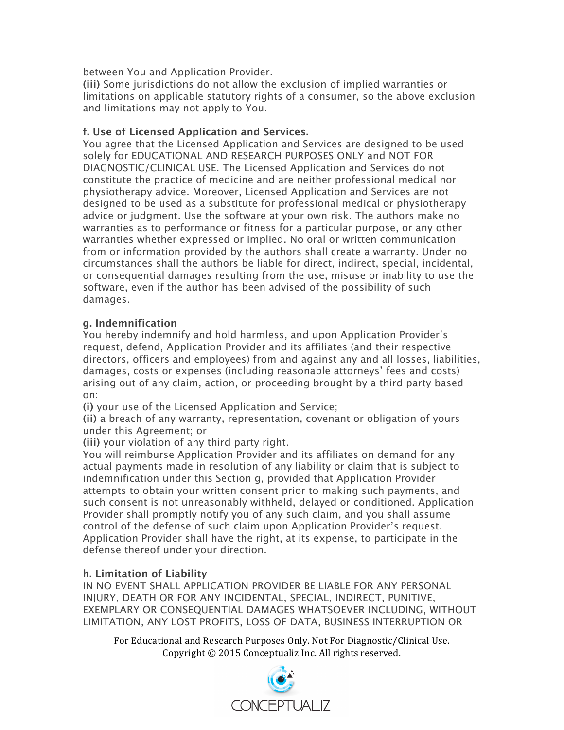between You and Application Provider.

**(iii)** Some jurisdictions do not allow the exclusion of implied warranties or limitations on applicable statutory rights of a consumer, so the above exclusion and limitations may not apply to You.

### **f. Use of Licensed Application and Services.**

You agree that the Licensed Application and Services are designed to be used solely for EDUCATIONAL AND RESEARCH PURPOSES ONLY and NOT FOR DIAGNOSTIC/CLINICAL USE. The Licensed Application and Services do not constitute the practice of medicine and are neither professional medical nor physiotherapy advice. Moreover, Licensed Application and Services are not designed to be used as a substitute for professional medical or physiotherapy advice or judgment. Use the software at your own risk. The authors make no warranties as to performance or fitness for a particular purpose, or any other warranties whether expressed or implied. No oral or written communication from or information provided by the authors shall create a warranty. Under no circumstances shall the authors be liable for direct, indirect, special, incidental, or consequential damages resulting from the use, misuse or inability to use the software, even if the author has been advised of the possibility of such damages.

#### **g. Indemnification**

You hereby indemnify and hold harmless, and upon Application Provider's request, defend, Application Provider and its affiliates (and their respective directors, officers and employees) from and against any and all losses, liabilities, damages, costs or expenses (including reasonable attorneys' fees and costs) arising out of any claim, action, or proceeding brought by a third party based on:

**(i)** your use of the Licensed Application and Service;

**(ii)** a breach of any warranty, representation, covenant or obligation of yours under this Agreement; or

**(iii)** your violation of any third party right.

You will reimburse Application Provider and its affiliates on demand for any actual payments made in resolution of any liability or claim that is subject to indemnification under this Section g, provided that Application Provider attempts to obtain your written consent prior to making such payments, and such consent is not unreasonably withheld, delayed or conditioned. Application Provider shall promptly notify you of any such claim, and you shall assume control of the defense of such claim upon Application Provider's request. Application Provider shall have the right, at its expense, to participate in the defense thereof under your direction.

## **h. Limitation of Liability**

IN NO EVENT SHALL APPLICATION PROVIDER BE LIABLE FOR ANY PERSONAL INJURY, DEATH OR FOR ANY INCIDENTAL, SPECIAL, INDIRECT, PUNITIVE, EXEMPLARY OR CONSEQUENTIAL DAMAGES WHATSOEVER INCLUDING, WITHOUT LIMITATION, ANY LOST PROFITS, LOSS OF DATA, BUSINESS INTERRUPTION OR

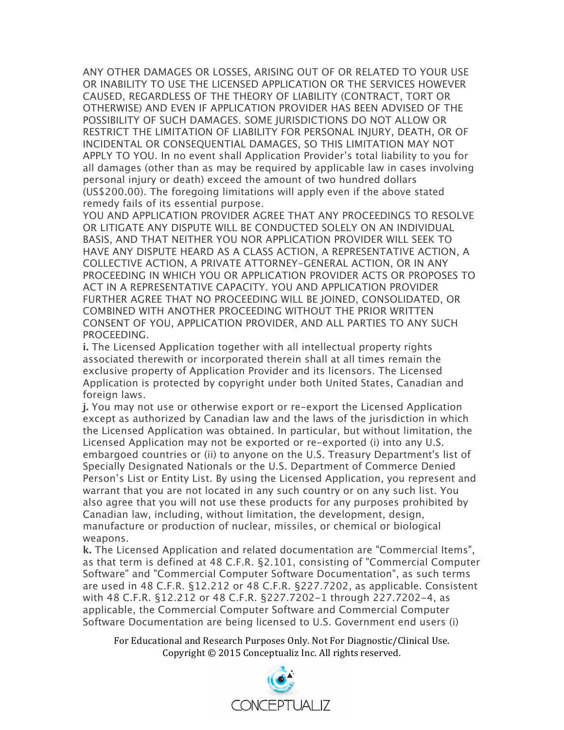ANY OTHER DAMAGES OR LOSSES, ARISING OUT OF OR RELATED TO YOUR USE OR INABILITY TO USE THE LICENSED APPLICATION OR THE SERVICES HOWEVER CAUSED, REGARDLESS OF THE THEORY OF LIABILITY (CONTRACT, TORT OR OTHERWISE) AND EVEN IF APPLICATION PROVIDER HAS BEEN ADVISED OF THE POSSIBILITY OF SUCH DAMAGES. SOME JURISDICTIONS DO NOT ALLOW OR RESTRICT THE LIMITATION OF LIABILITY FOR PERSONAL INJURY, DEATH, OR OF INCIDENTAL OR CONSEQUENTIAL DAMAGES, SO THIS LIMITATION MAY NOT APPLY TO YOU. In no event shall Application Provider's total liability to you for all damages (other than as may be required by applicable law in cases involving personal injury or death) exceed the amount of two hundred dollars (US\$200.00). The foregoing limitations will apply even if the above stated remedy fails of its essential purpose.

YOU AND APPLICATION PROVIDER AGREE THAT ANY PROCEEDINGS TO RESOLVE OR LITIGATE ANY DISPUTE WILL BE CONDUCTED SOLELY ON AN INDIVIDUAL BASIS, AND THAT NEITHER YOU NOR APPLICATION PROVIDER WILL SEEK TO HAVE ANY DISPUTE HEARD AS A CLASS ACTION, A REPRESENTATIVE ACTION, A COLLECTIVE ACTION, A PRIVATE ATTORNEY-GENERAL ACTION, OR IN ANY PROCEEDING IN WHICH YOU OR APPLICATION PROVIDER ACTS OR PROPOSES TO ACT IN A REPRESENTATIVE CAPACITY. YOU AND APPLICATION PROVIDER FURTHER AGREE THAT NO PROCEEDING WILL BE JOINED, CONSOLIDATED, OR COMBINED WITH ANOTHER PROCEEDING WITHOUT THE PRIOR WRITTEN CONSENT OF YOU, APPLICATION PROVIDER, AND ALL PARTIES TO ANY SUCH PROCEEDING.

**i.** The Licensed Application together with all intellectual property rights associated therewith or incorporated therein shall at all times remain the exclusive property of Application Provider and its licensors. The Licensed Application is protected by copyright under both United States, Canadian and foreign laws.

**j.** You may not use or otherwise export or re-export the Licensed Application except as authorized by Canadian law and the laws of the jurisdiction in which the Licensed Application was obtained. In particular, but without limitation, the Licensed Application may not be exported or re-exported (i) into any U.S. embargoed countries or (ii) to anyone on the U.S. Treasury Department's list of Specially Designated Nationals or the U.S. Department of Commerce Denied Person's List or Entity List. By using the Licensed Application, you represent and warrant that you are not located in any such country or on any such list. You also agree that you will not use these products for any purposes prohibited by Canadian law, including, without limitation, the development, design, manufacture or production of nuclear, missiles, or chemical or biological weapons.

**k.** The Licensed Application and related documentation are "Commercial Items", as that term is defined at 48 C.F.R. §2.101, consisting of "Commercial Computer Software" and "Commercial Computer Software Documentation", as such terms are used in 48 C.F.R. §12.212 or 48 C.F.R. §227.7202, as applicable. Consistent with 48 C.F.R. §12.212 or 48 C.F.R. §227.7202-1 through 227.7202-4, as applicable, the Commercial Computer Software and Commercial Computer Software Documentation are being licensed to U.S. Government end users (i)